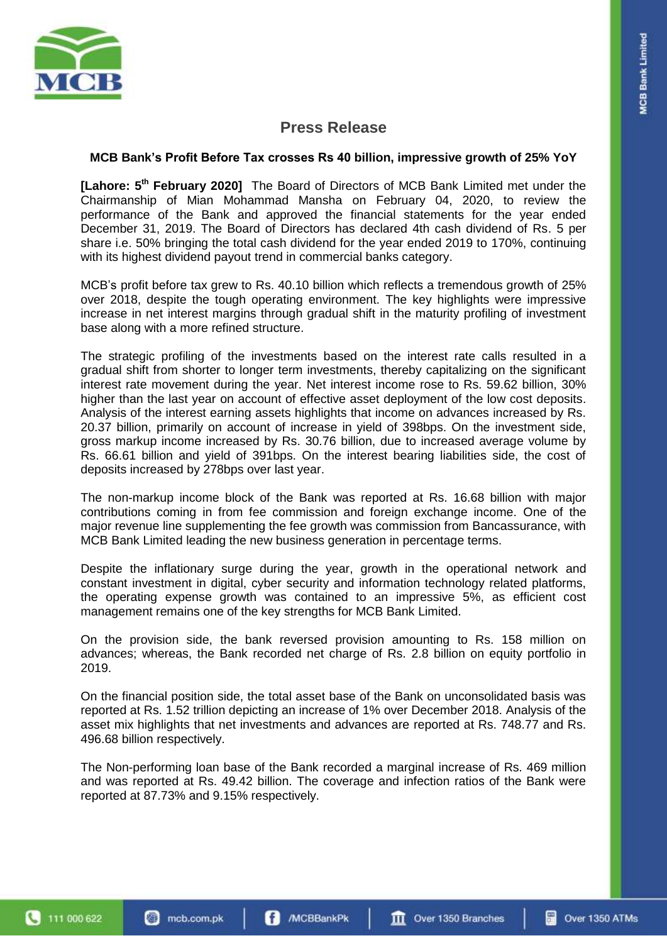

## **Press Release**

## **MCB Bank's Profit Before Tax crosses Rs 40 billion, impressive growth of 25% YoY**

**[Lahore: 5 th February 2020]** The Board of Directors of MCB Bank Limited met under the Chairmanship of Mian Mohammad Mansha on February 04, 2020, to review the performance of the Bank and approved the financial statements for the year ended December 31, 2019. The Board of Directors has declared 4th cash dividend of Rs. 5 per share i.e. 50% bringing the total cash dividend for the year ended 2019 to 170%, continuing with its highest dividend payout trend in commercial banks category.

MCB's profit before tax grew to Rs. 40.10 billion which reflects a tremendous growth of 25% over 2018, despite the tough operating environment. The key highlights were impressive increase in net interest margins through gradual shift in the maturity profiling of investment base along with a more refined structure.

The strategic profiling of the investments based on the interest rate calls resulted in a gradual shift from shorter to longer term investments, thereby capitalizing on the significant interest rate movement during the year. Net interest income rose to Rs. 59.62 billion, 30% higher than the last year on account of effective asset deployment of the low cost deposits. Analysis of the interest earning assets highlights that income on advances increased by Rs. 20.37 billion, primarily on account of increase in yield of 398bps. On the investment side, gross markup income increased by Rs. 30.76 billion, due to increased average volume by Rs. 66.61 billion and yield of 391bps. On the interest bearing liabilities side, the cost of deposits increased by 278bps over last year.

The non-markup income block of the Bank was reported at Rs. 16.68 billion with major contributions coming in from fee commission and foreign exchange income. One of the major revenue line supplementing the fee growth was commission from Bancassurance, with MCB Bank Limited leading the new business generation in percentage terms.

Despite the inflationary surge during the year, growth in the operational network and constant investment in digital, cyber security and information technology related platforms, the operating expense growth was contained to an impressive 5%, as efficient cost management remains one of the key strengths for MCB Bank Limited.

On the provision side, the bank reversed provision amounting to Rs. 158 million on advances; whereas, the Bank recorded net charge of Rs. 2.8 billion on equity portfolio in 2019.

On the financial position side, the total asset base of the Bank on unconsolidated basis was reported at Rs. 1.52 trillion depicting an increase of 1% over December 2018. Analysis of the asset mix highlights that net investments and advances are reported at Rs. 748.77 and Rs. 496.68 billion respectively.

The Non-performing loan base of the Bank recorded a marginal increase of Rs. 469 million and was reported at Rs. 49.42 billion. The coverage and infection ratios of the Bank were reported at 87.73% and 9.15% respectively.